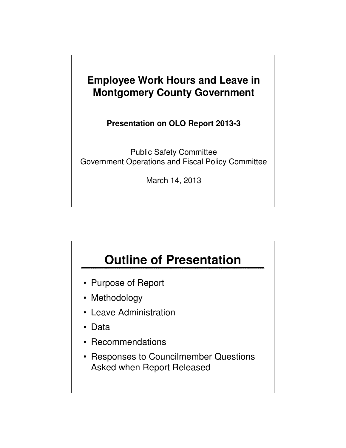#### **Employee Work Hours and Leave in Montgomery County Government**

**Presentation on OLO Report 2013-3**

Public Safety Committee Government Operations and Fiscal Policy Committee

March 14, 2013

# **Outline of Presentation**

- Purpose of Report
- Methodology
- Leave Administration
- Data
- Recommendations
- Responses to Councilmember Questions Asked when Report Released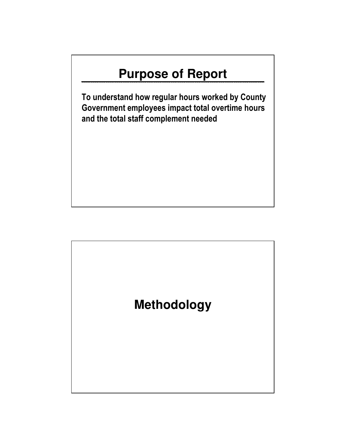# **Purpose of Report**

To understand how regular hours worked by County Government employees impact total overtime hours and the total staff complement needed

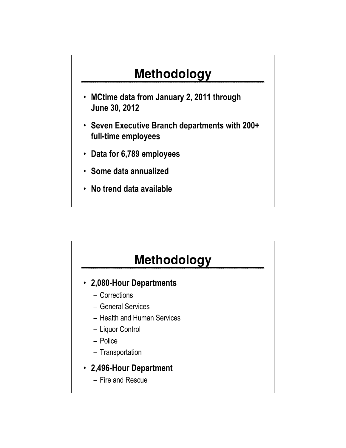# **Methodology**

- MCtime data from January 2, 2011 through June 30, 2012
- Seven Executive Branch departments with 200+ full-time employees
- Data for 6,789 employees
- Some data annualized
- No trend data available

# **Methodology**

- 2,080-Hour Departments
	- Corrections
	- General Services
	- Health and Human Services
	- Liquor Control
	- Police
	- Transportation
- 2,496-Hour Department
	- Fire and Rescue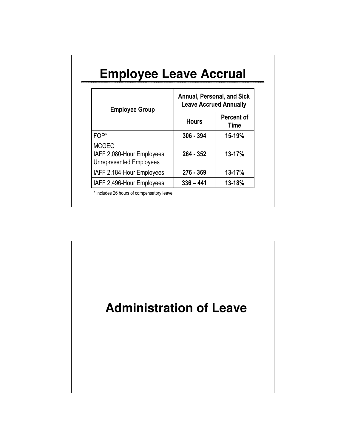|                                                                             | <b>Annual, Personal, and Sick</b> |                               |  |
|-----------------------------------------------------------------------------|-----------------------------------|-------------------------------|--|
| <b>Employee Group</b>                                                       |                                   | <b>Leave Accrued Annually</b> |  |
|                                                                             | <b>Hours</b>                      | Percent of<br>Time            |  |
| FOP*                                                                        | $306 - 394$                       | 15-19%                        |  |
| <b>MCGEO</b><br>IAFF 2,080-Hour Employees<br><b>Unrepresented Employees</b> | $264 - 352$                       | 13-17%                        |  |
| IAFF 2,184-Hour Employees                                                   | 276 - 369                         | 13-17%                        |  |
| IAFF 2,496-Hour Employees                                                   | $336 - 441$                       | 13-18%                        |  |

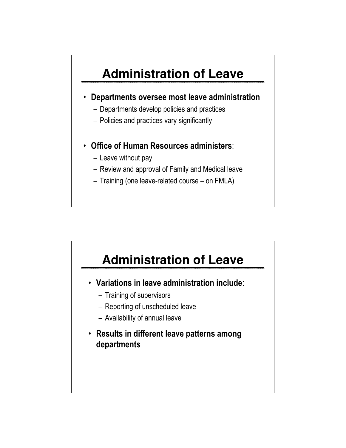# **Administration of Leave**

- Departments oversee most leave administration
	- Departments develop policies and practices
	- Policies and practices vary significantly
- Office of Human Resources administers:
	- Leave without pay
	- Review and approval of Family and Medical leave
	- Training (one leave-related course on FMLA)



- Variations in leave administration include:
	- Training of supervisors
	- Reporting of unscheduled leave
	- Availability of annual leave
- Results in different leave patterns among departments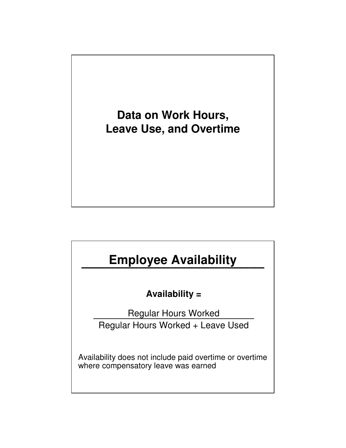

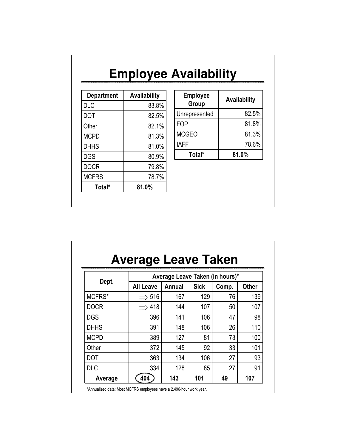|                   |              | <b>Employee Availability</b> |              |
|-------------------|--------------|------------------------------|--------------|
| <b>Department</b> | Availability | <b>Employee</b>              | Availability |
| <b>DLC</b>        | 83.8%        | Group                        |              |
| <b>DOT</b>        | 82.5%        | Unrepresented                | 82.5%        |
| Other             | 82.1%        | <b>FOP</b>                   | 81.8%        |
| <b>MCPD</b>       | 81.3%        | <b>MCGEO</b>                 | 81.3%        |
| <b>DHHS</b>       | 81.0%        | <b>IAFF</b>                  | 78.6%        |
| <b>DGS</b>        | 80.9%        | Total*                       | 81.0%        |
| <b>DOCR</b>       | 79.8%        |                              |              |
| <b>MCFRS</b>      | 78.7%        |                              |              |
| Total*            | 81.0%        |                              |              |

| Dept.       |                  | Average Leave Taken (in hours)* |             |       |              |  |
|-------------|------------------|---------------------------------|-------------|-------|--------------|--|
|             | <b>All Leave</b> | Annual                          | <b>Sick</b> | Comp. | <b>Other</b> |  |
| MCFRS*      | 516              | 167                             | 129         | 76    | 139          |  |
| <b>DOCR</b> | 418              | 144                             | 107         | 50    | 107          |  |
| <b>DGS</b>  | 396              | 141                             | 106         | 47    | 98           |  |
| <b>DHHS</b> | 391              | 148                             | 106         | 26    | 110          |  |
| <b>MCPD</b> | 389              | 127                             | 81          | 73    | 100          |  |
| Other       | 372              | 145                             | 92          | 33    | 101          |  |
| <b>DOT</b>  | 363              | 134                             | 106         | 27    | 93           |  |
| <b>DLC</b>  | 334              | 128                             | 85          | 27    | 91           |  |
| Average     | 404              | 143                             | 101         | 49    | 107          |  |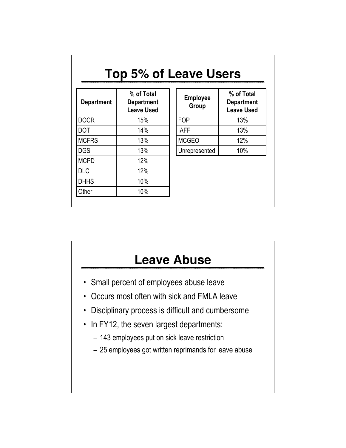| Top 5% of Leave Users |                                                      |                          |                                                      |
|-----------------------|------------------------------------------------------|--------------------------|------------------------------------------------------|
| <b>Department</b>     | % of Total<br><b>Department</b><br><b>Leave Used</b> | <b>Employee</b><br>Group | % of Total<br><b>Department</b><br><b>Leave Used</b> |
| <b>DOCR</b>           | 15%                                                  | <b>FOP</b>               | 13%                                                  |
| DOT                   | 14%                                                  | <b>IAFF</b>              | 13%                                                  |
| <b>MCFRS</b>          | 13%                                                  | <b>MCGEO</b>             | 12%                                                  |
| <b>DGS</b>            | 13%                                                  | Unrepresented            | 10%                                                  |
| <b>MCPD</b>           | 12%                                                  |                          |                                                      |
| DLC                   | 12%                                                  |                          |                                                      |
| DHHS                  | 10%                                                  |                          |                                                      |
| Other                 | 10%                                                  |                          |                                                      |

## **Leave Abuse**

- Small percent of employees abuse leave
- Occurs most often with sick and FMLA leave
- Disciplinary process is difficult and cumbersome
- In FY12, the seven largest departments:
	- 143 employees put on sick leave restriction
	- 25 employees got written reprimands for leave abuse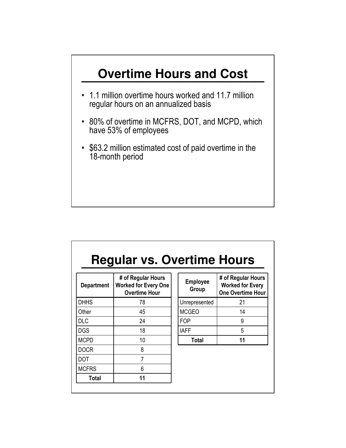

| <b>Regular vs. Overtime Hours</b> |  |
|-----------------------------------|--|
|                                   |  |

| <b>Department</b> | # of Regular Hours<br><b>Worked for Every One</b><br><b>Overtime Hour</b> |
|-------------------|---------------------------------------------------------------------------|
| <b>DHHS</b>       | 78                                                                        |
| Other             | 45                                                                        |
| <b>DLC</b>        | 24                                                                        |
| <b>DGS</b>        | 18                                                                        |
| <b>MCPD</b>       | 10                                                                        |
| <b>DOCR</b>       | 8                                                                         |
| DOT               | 7                                                                         |
| <b>MCFRS</b>      | 6                                                                         |
| <b>Total</b>      | 11                                                                        |

| <b>Employee</b><br>Group | # of Regular Hours<br><b>Worked for Every</b><br><b>One Overtime Hour</b> |
|--------------------------|---------------------------------------------------------------------------|
| Unrepresented            | 21                                                                        |
| <b>MCGEO</b>             | 14                                                                        |
| <b>FOP</b>               | g                                                                         |
| <b>IAFF</b>              | 5                                                                         |
| Total                    | 11                                                                        |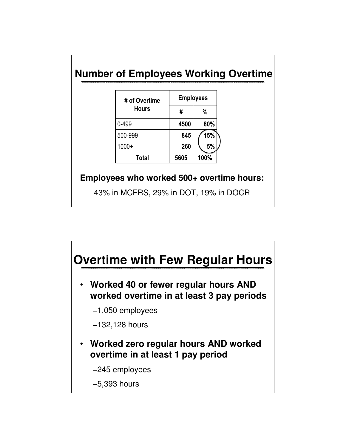#### **Number of Employees Working Overtime**

| # of Overtime | <b>Employees</b> |      |
|---------------|------------------|------|
| <b>Hours</b>  | #                | %    |
| 0-499         | 4500             | 80%  |
| 500-999       | 845              | 15%  |
| $1000+$       | 260              | 5%   |
| <b>Total</b>  | 5605             | 100% |

#### **Employees who worked 500+ overtime hours:**

43% in MCFRS, 29% in DOT, 19% in DOCR

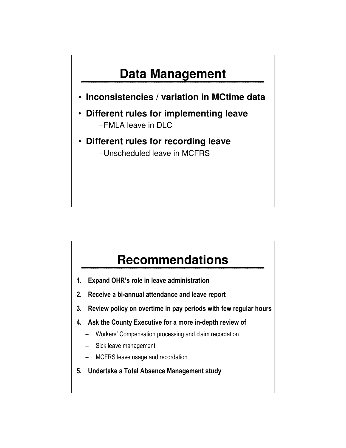## **Data Management**

- **Inconsistencies / variation in MCtime data**
- **Different rules for implementing leave** -FMLA leave in DLC
- **Different rules for recording leave** -Unscheduled leave in MCFRS

### **Recommendations**

- 1. Expand OHR's role in leave administration
- 2. Receive a bi-annual attendance and leave report
- 3. Review policy on overtime in pay periods with few regular hours
- 4. Ask the County Executive for a more in-depth review of:
	- Workers' Compensation processing and claim recordation
	- Sick leave management
	- MCFRS leave usage and recordation
- 5. Undertake a Total Absence Management study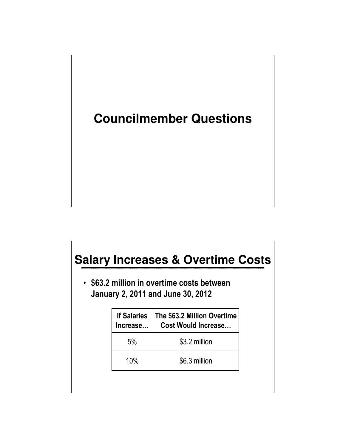

| <b>Salary Increases &amp; Overtime Costs</b> |                                                                                        |  |  |
|----------------------------------------------|----------------------------------------------------------------------------------------|--|--|
|                                              | • \$63.2 million in overtime costs between<br><b>January 2, 2011 and June 30, 2012</b> |  |  |
| <b>If Salaries</b><br>Increase               | The \$63.2 Million Overtime<br><b>Cost Would Increase</b>                              |  |  |
| 5%                                           | \$3.2 million                                                                          |  |  |
| 10%                                          | \$6.3 million                                                                          |  |  |
|                                              |                                                                                        |  |  |